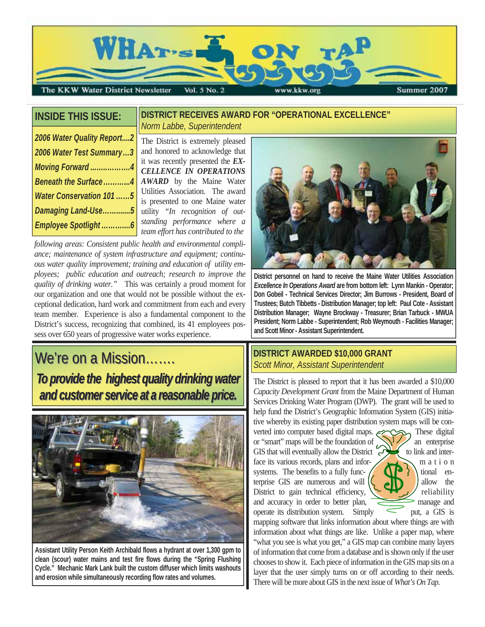

# **INSIDE THIS ISSUE:**

#### **DISTRICT RECEIVES AWARD FOR "OPERATIONAL EXCELLENCE"**  *Norm Labbe, Superintendent*

| 2006 Water Quality Report2 |  |  |  |  |
|----------------------------|--|--|--|--|
| 2006 Water Test Summary3   |  |  |  |  |
| Moving Forward4            |  |  |  |  |
| Beneath the Surface4       |  |  |  |  |
| Water Conservation 101 5   |  |  |  |  |
| Damaging Land-Use5         |  |  |  |  |
|                            |  |  |  |  |

The District is extremely pleased and honored to acknowledge that it was recently presented the *EX-CELLENCE IN OPERATIONS AWARD* by the Maine Water Utilities Association. The award is presented to one Maine water utility *"In recognition of outstanding performance where a team effort has contributed to the*

*following areas: Consistent public health and environmental compliance; maintenance of system infrastructure and equipment; continuous water quality improvement; training and education of utility employees; public education and outreach; research to improve the quality of drinking water."* This was certainly a proud moment for our organization and one that would not be possible without the exceptional dedication, hard work and commitment from each and every team member. Experience is also a fundamental component to the District's success, recognizing that combined, its 41 employees possess over 650 years of progressive water works experience.

# $We're on a Mission....$ To provide the highest quality drinking water *and customer service at a reasonable price. and customer service at a reasonable price.*



**Assistant Utility Person Keith Archibald flows a hydrant at over 1,300 gpm to clean (scour) water mains and test fire flows during the "Spring Flushing Cycle." Mechanic Mark Lank built the custom diffuser which limits washouts and erosion while simultaneously recording flow rates and volumes.** 



**District personnel on hand to receive the Maine Water Utilities Association**  *Excellence In Operations Award* **are from bottom left: Lynn Mankin - Operator; Don Gobeil - Technical Services Director; Jim Burrows - President, Board of Trustees; Butch Tibbetts - Distribution Manager; top left: Paul Cote - Assistant Distribution Manager; Wayne Brockway - Treasurer; Brian Tarbuck - MWUA President; Norm Labbe - Superintendent; Rob Weymouth - Facilities Manager; and Scott Minor - Assistant Superintendent.** 

# **DISTRICT AWARDED \$10,000 GRANT**  *Scott Minor, Assistant Superintendent*

The District is pleased to report that it has been awarded a \$10,000 *Capacity Development Grant* from the Maine Department of Human Services Drinking Water Program (DWP). The grant will be used to help fund the District's Geographic Information System (GIS) initiative whereby its existing paper distribution system maps will be converted into computer based digital maps.  $\epsilon$  These digital or "smart" maps will be the foundation of  $\bigotimes$  an enterprise GIS that will eventually allow the District  $\leftrightarrow$  to link and inter-

face its various records, plans and infor-  $\sqrt{m}$  m a t i o n systems. The benefits to a fully func-  $\left(\begin{array}{c} \binom{3}{2} \\ 1 \end{array}\right)$  tional enterprise GIS are numerous and will  $\left(\begin{array}{c} \bullet \end{array}\right)$  allow the District to gain technical efficiency,  $\left\langle \left\langle \right\rangle \right\rangle$  reliability and accuracy in order to better plan, manage and operate its distribution system. Simply  $\leq$  put, a GIS is



mapping software that links information about where things are with information about what things are like. Unlike a paper map, where "what you see is what you get," a GIS map can combine many layers of information that come from a database and is shown only if the user chooses to show it. Each piece of information in the GIS map sits on a layer that the user simply turns on or off according to their needs. There will be more about GIS in the next issue of *What's On Tap.*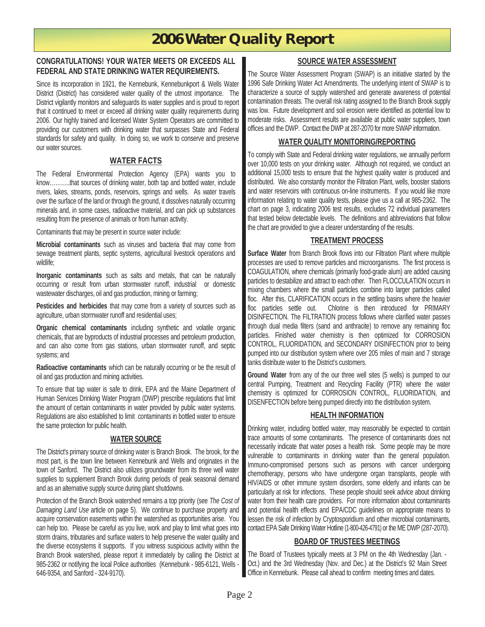# **2006 Water Quality Report**

#### **CONGRATULATIONS! YOUR WATER MEETS OR EXCEEDS ALL FEDERAL AND STATE DRINKING WATER REQUIREMENTS.**

Since its incorporation in 1921, the Kennebunk, Kennebunkport & Wells Water District (District) has considered water quality of the utmost importance. The District vigilantly monitors and safeguards its water supplies and is proud to report that it continued to meet or exceed all drinking water quality requirements during 2006. Our highly trained and licensed Water System Operators are committed to providing our customers with drinking water that surpasses State and Federal standards for safety and quality. In doing so, we work to conserve and preserve our water sources.

## **WATER FACTS**

The Federal Environmental Protection Agency (EPA) wants you to know………..that sources of drinking water, both tap and bottled water, include rivers, lakes, streams, ponds, reservoirs, springs and wells. As water travels over the surface of the land or through the ground, it dissolves naturally occurring minerals and, in some cases, radioactive material, and can pick up substances resulting from the presence of animals or from human activity.

Contaminants that may be present in source water include:

**Microbial contaminants** such as viruses and bacteria that may come from sewage treatment plants, septic systems, agricultural livestock operations and wildlife;

**Inorganic contaminants** such as salts and metals, that can be naturally occurring or result from urban stormwater runoff, industrial or domestic wastewater discharges, oil and gas production, mining or farming;

**Pesticides and herbicides** that may come from a variety of sources such as agriculture, urban stormwater runoff and residential uses;

**Organic chemical contaminants** including synthetic and volatile organic chemicals, that are byproducts of industrial processes and petroleum production, and can also come from gas stations, urban stormwater runoff, and septic systems; and

**Radioactive contaminants** which can be naturally occurring or be the result of oil and gas production and mining activities.

To ensure that tap water is safe to drink, EPA and the Maine Department of Human Services Drinking Water Program (DWP) prescribe regulations that limit the amount of certain contaminants in water provided by public water systems. Regulations are also established to limit contaminants in bottled water to ensure the same protection for public health.

#### **WATER SOURCE**

The District's primary source of drinking water is Branch Brook. The brook, for the most part, is the town line between Kennebunk and Wells and originates in the town of Sanford. The District also utilizes groundwater from its three well water supplies to supplement Branch Brook during periods of peak seasonal demand and as an alternative supply source during plant shutdowns.

Protection of the Branch Brook watershed remains a top priority (see *The Cost of Damaging Land Use* article on page 5). We continue to purchase property and acquire conservation easements within the watershed as opportunities arise. You can help too. Please be careful as you live, work and play to limit what goes into storm drains, tributaries and surface waters to help preserve the water quality and the diverse ecosystems it supports. If you witness suspicious activity within the Branch Brook watershed, please report it immediately by calling the District at 985-2362 or notifying the local Police authorities (Kennebunk - 985-6121, Wells - 646-9354, and Sanford - 324-9170).

## **SOURCE WATER ASSESSMENT**

The Source Water Assessment Program (SWAP) is an initiative started by the 1996 Safe Drinking Water Act Amendments. The underlying intent of SWAP is to characterize a source of supply watershed and generate awareness of potential contamination threats. The overall risk rating assigned to the Branch Brook supply was low. Future development and soil erosion were identified as potential low to moderate risks. Assessment results are available at public water suppliers, town offices and the DWP. Contact the DWP at 287-2070 for more SWAP information.

#### **WATER QUALITY MONITORING/REPORTING**

To comply with State and Federal drinking water regulations, we annually perform over 10,000 tests on your drinking water. Although not required, we conduct an additional 15,000 tests to ensure that the highest quality water is produced and distributed. We also constantly monitor the Filtration Plant, wells, booster stations and water reservoirs with continuous on-line instruments. If you would like more information relating to water quality tests, please give us a call at 985-2362. The chart on page 3, indicating 2006 test results, excludes 72 individual parameters that tested below detectable levels. The definitions and abbreviations that follow the chart are provided to give a clearer understanding of the results.

#### **TREATMENT PROCESS**

**Surface Water** from Branch Brook flows into our Filtration Plant where multiple processes are used to remove particles and microorganisms. The first process is COAGULATION, where chemicals (primarily food-grade alum) are added causing particles to destabilize and attract to each other. Then FLOCCULATION occurs in mixing chambers where the small particles combine into larger particles called floc. After this, CLARIFICATION occurs in the settling basins where the heavier floc particles settle out. Chlorine is then introduced for PRIMARY DISINFECTION. The FILTRATION process follows where clarified water passes through dual media filters (sand and anthracite) to remove any remaining floc particles. Finished water chemistry is then optimized for CORROSION CONTROL, FLUORIDATION, and SECONDARY DISINFECTION prior to being pumped into our distribution system where over 205 miles of main and 7 storage tanks distribute water to the District's customers.

**Ground Water** from any of the our three well sites (5 wells) is pumped to our central Pumping, Treatment and Recycling Facility (PTR) where the water chemistry is optimized for CORROSION CONTROL, FLUORIDATION, and DISENFECTION before being pumped directly into the distribution system.

## **HEALTH INFORMATION**

Drinking water, including bottled water, may reasonably be expected to contain trace amounts of some contaminants. The presence of contaminants does not necessarily indicate that water poses a health risk. Some people may be more vulnerable to contaminants in drinking water than the general population. Immuno-compromised persons such as persons with cancer undergoing chemotherapy, persons who have undergone organ transplants, people with HIV/AIDS or other immune system disorders, some elderly and infants can be particularly at risk for infections. These people should seek advice about drinking water from their health care providers. For more information about contaminants and potential health effects and EPA/CDC guidelines on appropriate means to lessen the risk of infection by Cryptosporidium and other microbial contaminants, contact EPA Safe Drinking Water Hotline (1-800-426-4791) or the ME DWP (287-2070).

## **BOARD OF TRUSTEES MEETINGS**

The Board of Trustees typically meets at 3 PM on the 4th Wednesday (Jan. - Oct.) and the 3rd Wednesday (Nov. and Dec.) at the District's 92 Main Street Office in Kennebunk. Please call ahead to confirm meeting times and dates.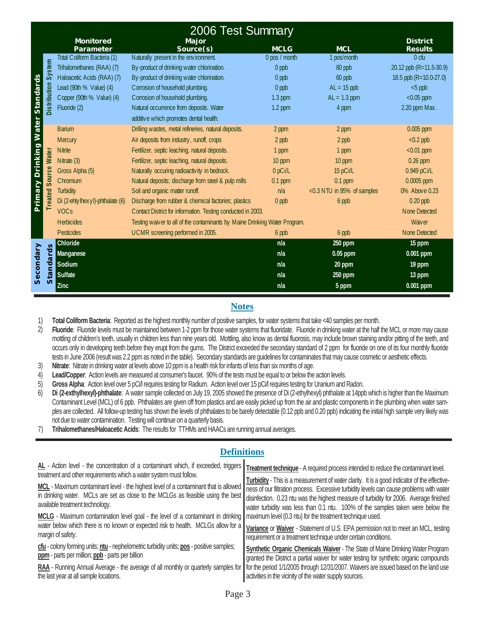|                               | 2006 Test Summary    |                                 |                                                                            |                     |                            |                                   |  |  |
|-------------------------------|----------------------|---------------------------------|----------------------------------------------------------------------------|---------------------|----------------------------|-----------------------------------|--|--|
|                               |                      | <b>Monitored</b><br>Parameter   | Major<br>Source(s)                                                         | <b>MCLG</b>         | <b>MCL</b>                 | <b>District</b><br><b>Results</b> |  |  |
|                               |                      | Total Coliform Bacteria (1)     | Naturally present in the environment.                                      | 0 pos / month       | 1 pos/month                | 0 <sub>ch</sub>                   |  |  |
|                               | Distribution System  | Trihalomethanes (RAA) (7)       | By-product of drinking water chlorination.                                 | $0$ ppb             | 80 ppb                     | 20.12 ppb (R=11.5-30.9)           |  |  |
|                               |                      | Haloacetic Acids (RAA) (7)      | By-product of drinking water chlorination.                                 | $0$ ppb             | 60 ppb                     | 18.5 ppb $(R=10.0-27.0)$          |  |  |
|                               |                      | Lead (90th % Value) (4)         | Corrosion of household plumbing.                                           | $0$ ppb             | $AL = 15$ ppb              | $< 5$ ppb                         |  |  |
| <b>Standards</b>              |                      | Copper (90th % Value) (4)       | Corrosion of household plumbing.                                           | $1.3$ ppm           | $AL = 1.3$ ppm             | $<$ 0.05 ppm                      |  |  |
|                               |                      | Fluoride (2)                    | Natural occurrence from deposits. Water                                    | $1.2$ ppm           | 4 ppm                      | 2.20 ppm Max.                     |  |  |
|                               |                      |                                 | additive which promotes dental health.                                     |                     |                            |                                   |  |  |
|                               |                      | <b>Barium</b>                   | Drilling wastes, metal refineries, natural deposits.                       | 2 ppm               | 2 ppm                      | $0.005$ ppm                       |  |  |
|                               |                      | <b>Mercury</b>                  | Air deposits from industry, runoff, crops                                  | 2 ppb               | 2 ppb                      | $< 0.2$ ppb                       |  |  |
|                               |                      | <b>N</b> itrite                 | Fertilizer, septic leaching, natural deposits.                             | 1 ppm               | 1 ppm                      | $< 0.01$ ppm                      |  |  |
|                               | Treated Source Water | Nitrate $(3)$                   | Fertilizer, septic leaching, natural deposits.                             | 10 ppm              | 10 ppm                     | $0.26$ ppm                        |  |  |
|                               |                      | Gross Alpha (5)                 | Naturally occuring radioactivity in bedrock.                               | 0 <sub>p</sub> Ci/L | 15 pCi/L                   | 0.949 pCi/L                       |  |  |
| <b>Primary Drinking Water</b> |                      | Chromium                        | Natural deposits; discharge from steel & pulp mills                        | $0.1$ ppm           | $0.1$ ppm                  | $0.0005$ ppm                      |  |  |
|                               |                      | <b>Turbidity</b>                | Soil and organic matter runoff.                                            | n/a                 | <0.3 NTU in 95% of samples | 0% Above 0.23                     |  |  |
|                               |                      | Di (2-ehtylhexyl)-phthalate (6) | Discharge from rubber & chemical factories; plastics                       | 0 ppb               | 6 ppb                      | $0.20$ ppb                        |  |  |
|                               |                      | <b>VOCs</b>                     | Contact District for information. Testing conducted in 2003.               |                     |                            | <b>None Detected</b>              |  |  |
|                               |                      | <b>Herbicides</b>               | Testing waiver to all of the contaminants by Maine Drinking Water Program. |                     | Waiver                     |                                   |  |  |
|                               |                      | <b>Pesticides</b>               | UCMR screening performed in 2005.                                          | 6 ppb               | 6 ppb                      | <b>None Detected</b>              |  |  |
| Secondary                     | Standards            | Chloride                        |                                                                            | n/a                 | 250 ppm                    | 15 ppm                            |  |  |
|                               |                      | <b>Manganese</b>                |                                                                            | n/a                 | 0.05 ppm                   | 0.001 ppm                         |  |  |
|                               |                      | Sodium                          |                                                                            | n/a                 | 20 ppm                     | 19 ppm                            |  |  |
|                               |                      | Sulfate                         |                                                                            | n/a                 | 250 ppm                    | 13 ppm                            |  |  |
|                               |                      | <b>Zinc</b>                     |                                                                            | n/a                 | 5 ppm                      | $0.001$ ppm                       |  |  |

## **Notes**

1) **Total Coliform Bacteria**: Reported as the highest monthly number of positive samples, for water systems that take <40 samples per month.

2) **Fluoride**: Fluoride levels must be maintained between 1-2 ppm for those water systems that fluoridate. Fluoride in drinking water at the half the MCL or more may cause mottling of children's teeth, usually in children less than nine years old. Mottling, also know as dental fluorosis, may include brown staining and/or pitting of the teeth, and occurs only in developing teeth before they erupt from the gums. The District exceeded the secondary standard of 2 ppm for fluoride on one of its four monthly fluoride tests in June 2006 (result was 2.2 ppm as noted in the table). Secondary standards are guidelines for contaminates that may cause cosmetic or aesthetic effects.

- 3) **Nitrate**: Nitrate in drinking water at levels above 10 ppm is a health risk for infants of less than six months of age.
- 4) **Lead/Copper**: Action levels are measured at consumer's faucet. 90% of the tests must be equal to or below the action levels.
- 5) **Gross Alpha**: Action level over 5 pCi/l requires testing for Radium. Action level over 15 pCi/l requires testing for Uranium and Radon.
- 6) **Di (2-exthylhexyl)-phthalate**: A water sample collected on July 19, 2005 showed the presence of Di (2-ethylhexyl) phthalate at 14ppb which is higher than the Maximum Contaminant Level (MCL) of 6 ppb. Phthalates are given off from plastics and are easily picked up from the air and plastic components in the plumbing when water samples are collected. All follow-up testing has shown the levels of phthalates to be barely detectable (0.12 ppb and 0.20 ppb) indicating the initial high sample very likely was not due to water contamination. Testing will continue on a quarterly basis.
- 7) **Trihalomethanes/Haloacetic Acids**: The results for TTHMs and HAACs are running annual averages.

| шаншылы                                                                                                                                                                                                                                                                                                                                                                                                                                                                                                                                                                                                                                                                                                                                                                                                                                                                                                            |                                                                                                                                                                                                                                                                                                                                                                                                                                                                                                                                                                                                                                                                                                                                                                                                                                                                                                                                                    |  |  |  |  |
|--------------------------------------------------------------------------------------------------------------------------------------------------------------------------------------------------------------------------------------------------------------------------------------------------------------------------------------------------------------------------------------------------------------------------------------------------------------------------------------------------------------------------------------------------------------------------------------------------------------------------------------------------------------------------------------------------------------------------------------------------------------------------------------------------------------------------------------------------------------------------------------------------------------------|----------------------------------------------------------------------------------------------------------------------------------------------------------------------------------------------------------------------------------------------------------------------------------------------------------------------------------------------------------------------------------------------------------------------------------------------------------------------------------------------------------------------------------------------------------------------------------------------------------------------------------------------------------------------------------------------------------------------------------------------------------------------------------------------------------------------------------------------------------------------------------------------------------------------------------------------------|--|--|--|--|
| AL - Action level - the concentration of a contaminant which, if exceeded, triggers<br>treatment and other requirements which a water system must follow.<br>MCL - Maximum contaminant level - the highest level of a contaminant that is allowed<br>in drinking water. MCLs are set as close to the MCLGs as feasible using the best<br>available treatment technology.<br>MCLG - Maximum contamination level goal - the level of a contaminant in drinking   maximum level (0.3 ntu) for the treatment technique used.<br>water below which there is no known or expected risk to health. MCLGs allow for a<br>margin of safety.<br>cfu - colony forming units; ntu - nephelometric turbidity units; pos - positive samples;<br>ppm - parts per million; ppb - parts per billion<br>RAA - Running Annual Average - the average of all monthly or quarterly samples for<br>the last year at all sample locations. | Treatment technique - A required process intended to reduce the contaminant level.<br>Turbidity - This is a measurement of water clarity. It is a good indicator of the effective-<br>ness of our filtration process. Excessive turbidity levels can cause problems with water<br>disinfection. 0.23 ntu was the highest measure of turbidity for 2006. Average finished<br>water turbidity was less than 0.1 ntu. 100% of the samples taken were below the<br>Variance or Waiver - Statement of U.S. EPA permission not to meet an MCL, testing<br>requirement or a treatment technique under certain conditions.<br>Synthetic Organic Chemicals Waiver - The State of Maine Drinking Water Program<br>granted the District a partial waiver for water testing for synthetic organic compounds<br>for the period 1/1/2005 through 12/31/2007. Waivers are issued based on the land use<br>activities in the vicinity of the water supply sources. |  |  |  |  |
|                                                                                                                                                                                                                                                                                                                                                                                                                                                                                                                                                                                                                                                                                                                                                                                                                                                                                                                    |                                                                                                                                                                                                                                                                                                                                                                                                                                                                                                                                                                                                                                                                                                                                                                                                                                                                                                                                                    |  |  |  |  |

## **Definitions**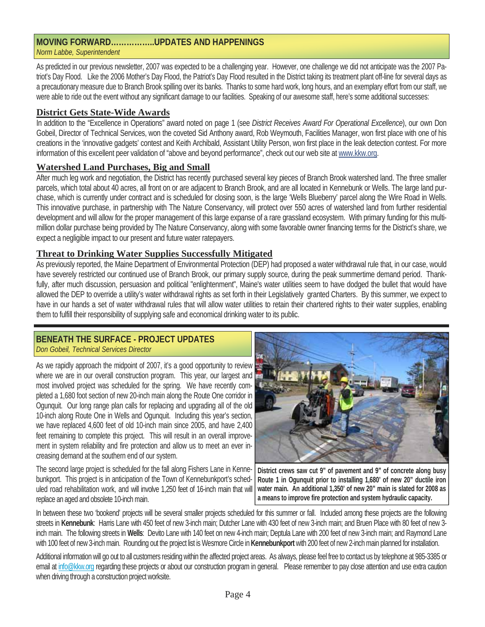As predicted in our previous newsletter, 2007 was expected to be a challenging year. However, one challenge we did not anticipate was the 2007 Patriot's Day Flood. Like the 2006 Mother's Day Flood, the Patriot's Day Flood resulted in the District taking its treatment plant off-line for several days as a precautionary measure due to Branch Brook spilling over its banks. Thanks to some hard work, long hours, and an exemplary effort from our staff, we were able to ride out the event without any significant damage to our facilities. Speaking of our awesome staff, here's some additional successes:

## **District Gets State-Wide Awards**

In addition to the "Excellence in Operations" award noted on page 1 (see *District Receives Award For Operational Excellence*), our own Don Gobeil, Director of Technical Services, won the coveted Sid Anthony award, Rob Weymouth, Facilities Manager, won first place with one of his creations in the 'innovative gadgets' contest and Keith Archibald, Assistant Utility Person, won first place in the leak detection contest. For more information of this excellent peer validation of "above and beyond performance", check out our web site at www.kkw.org.

#### **Watershed Land Purchases, Big and Small**

After much leg work and negotiation, the District has recently purchased several key pieces of Branch Brook watershed land. The three smaller parcels, which total about 40 acres, all front on or are adjacent to Branch Brook, and are all located in Kennebunk or Wells. The large land purchase, which is currently under contract and is scheduled for closing soon, is the large 'Wells Blueberry' parcel along the Wire Road in Wells. This innovative purchase, in partnership with The Nature Conservancy, will protect over 550 acres of watershed land from further residential development and will allow for the proper management of this large expanse of a rare grassland ecosystem. With primary funding for this multimillion dollar purchase being provided by The Nature Conservancy, along with some favorable owner financing terms for the District's share, we expect a negligible impact to our present and future water ratepayers.

#### **Threat to Drinking Water Supplies Successfully Mitigated**

As previously reported, the Maine Department of Environmental Protection (DEP) had proposed a water withdrawal rule that, in our case, would have severely restricted our continued use of Branch Brook, our primary supply source, during the peak summertime demand period. Thankfully, after much discussion, persuasion and political "enlightenment", Maine's water utilities seem to have dodged the bullet that would have allowed the DEP to override a utility's water withdrawal rights as set forth in their Legislatively granted Charters. By this summer, we expect to have in our hands a set of water withdrawal rules that will allow water utilities to retain their chartered rights to their water supplies, enabling them to fulfill their responsibility of supplying safe and economical drinking water to its public.

#### **BENEATH THE SURFACE - PROJECT UPDATES** *Don Gobeil, Technical Services Director*

As we rapidly approach the midpoint of 2007, it's a good opportunity to review where we are in our overall construction program. This year, our largest and most involved project was scheduled for the spring. We have recently completed a 1,680 foot section of new 20-inch main along the Route One corridor in Ogunquit. Our long range plan calls for replacing and upgrading all of the old 10-inch along Route One in Wells and Ogunquit. Including this year's section, we have replaced 4,600 feet of old 10-inch main since 2005, and have 2,400 feet remaining to complete this project. This will result in an overall improvement in system reliability and fire protection and allow us to meet an ever increasing demand at the southern end of our system.

The second large project is scheduled for the fall along Fishers Lane in Kennebunkport. This project is in anticipation of the Town of Kennebunkport's scheduled road rehabilitation work, and will involve 1,250 feet of 16-inch main that will replace an aged and obsolete 10-inch main.



**District crews saw cut 9" of pavement and 9" of concrete along busy Route 1 in Ogunquit prior to installing 1,680' of new 20" ductile iron water main. An additional 1,350' of new 20" main is slated for 2008 as a means to improve fire protection and system hydraulic capacity.** 

In between these two 'bookend' projects will be several smaller projects scheduled for this summer or fall. Included among these projects are the following streets in **Kennebunk**: Harris Lane with 450 feet of new 3-inch main; Dutcher Lane with 430 feet of new 3-inch main; and Bruen Place with 80 feet of new 3 inch main. The following streets in **Wells**: Devito Lane with 140 feet on new 4-inch main; Deptula Lane with 200 feet of new 3-inch main; and Raymond Lane with 100 feet of new 3-inch main. Rounding out the project list is Wesmore Circle in **Kennebunkport** with 200 feet of new 2-inch main planned for installation.

Additional information will go out to all customers residing within the affected project areas. As always, please feel free to contact us by telephone at 985-3385 or email at info@kkw.org regarding these projects or about our construction program in general. Please remember to pay close attention and use extra caution when driving through a construction project worksite.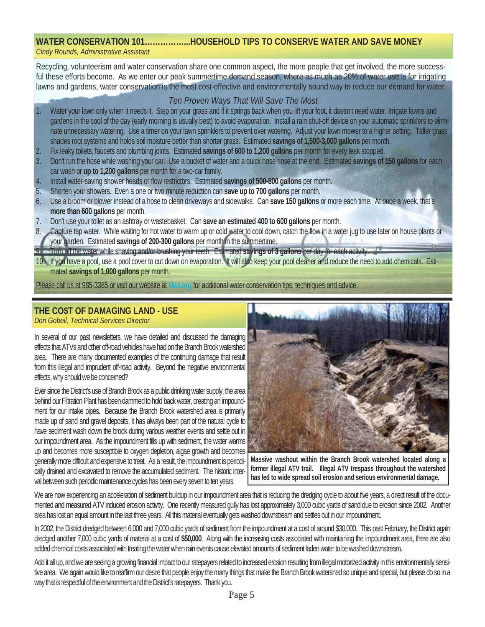#### **WATER CONSERVATION 101……………...HOUSEHOLD TIPS TO CONSERVE WATER AND SAVE MONEY** *Cindy Rounds, Administrative Assistant*

Recycling, volunteerism and water conservation share one common aspect, the more people that get involved, the more successful these efforts become. As we enter our peak summertime demand season, where as much as 20% of water use is for irrigating lawns and gardens, water conservation is the most cost-effective and environmentally sound way to reduce our demand for water.

# *Ten Proven Ways That Will Save The Most*

- Water your lawn only when it needs it. Step on your grass and if it springs back when you lift your foot, it doesn't need water. Irrigate lawns and gardens in the cool of the day (early morning is usually best) to avoid evaporation. Install a rain shut-off device on your automatic sprinklers to eliminate unnecessary watering. Use a timer on your lawn sprinklers to prevent over watering. Adjust your lawn mower to a higher setting. Taller grass shades root systems and holds soil moisture better than shorter grass. Estimated **savings of 1,500-3,000 gallons** per month.
- 2. Fix leaky toilets, faucets and plumbing joints. Estimated **savings of 600 to 1,200 gallons** per month for every leak stopped.
- 3. Don't run the hose while washing your car. Use a bucket of water and a quick hose rinse at the end. Estimated **savings of 150 gallons** for each car wash or **up to 1,200 gallons** per month for a two-car family.
- 4. Install water-saving shower heads or flow restrictors. Estimated **savings of 500-800 gallons** per month.
- 5. Shorten your showers. Even a one or two minute reduction can **save up to 700 gallons** per month.
- 6. Use a broom or blower instead of a hose to clean driveways and sidewalks. Can **save 150 gallons** or more each time. At once a week, that's **more than 600 gallons** per month.
- 7. Don't use your toilet as an ashtray or wastebasket. Can **save an estimated 400 to 600 gallons** per month.
- 8. Capture tap water. While waiting for hot water to warm up or cold water to cool down, catch the flow in a water jug to use later on house plants or your garden. Estimated **savings of 200-300 gallons** per month in the summertime.
- 9. Turn off the water while shaving and/or brushing your teeth. Estimated **savings of 3 gallons** per day for each activity.
- 10. If you have a pool, use a pool cover to cut down on evaporation. It will also keep your pool cleaner and reduce the need to add chemicals. Estimated **savings of 1,000 gallons** per month.

Please call us at 985-3385 or visit our website at **kkw.org** for additional water conservation tips, techniques and advice.

#### **THE CO\$T OF DAMAGING LAND - USE** *Don Gobeil, Technical Services Director*

In several of our past newsletters, we have detailed and discussed the damaging effects that ATVs and other off-road vehicles have had on the Branch Brook watershed area. There are many documented examples of the continuing damage that result from this illegal and imprudent off-road activity. Beyond the negative environmental effects, why should we be concerned?

Ever since the District's use of Branch Brook as a public drinking water supply, the area behind our Filtration Plant has been dammed to hold back water, creating an impoundment for our intake pipes. Because the Branch Brook watershed area is primarily made up of sand and gravel deposits, it has always been part of the natural cycle to have sediment wash down the brook during various weather events and settle out in our impoundment area. As the impoundment fills up with sediment, the water warms up and becomes more susceptible to oxygen depletion, algae growth and becomes generally more difficult and expensive to treat. As a result, the impoundment is periodically drained and excavated to remove the accumulated sediment. The historic interval between such periodic maintenance cycles has been every seven to ten years.



**Massive washout within the Branch Brook watershed located along a former illegal ATV trail. Illegal ATV trespass throughout the watershed has led to wide spread soil erosion and serious environmental damage.** 

We are now experiencing an acceleration of sediment buildup in our impoundment area that is reducing the dredging cycle to about five years, a direct result of the documented and measured ATV induced erosion activity. One recently measured gully has lost approximately 3,000 cubic yards of sand due to erosion since 2002. Another area has lost an equal amount in the last three years. All this material eventually gets washed downstream and settles out in our impoundment.

In 2002, the District dredged between 6,000 and 7,000 cubic yards of sediment from the impoundment at a cost of around \$30,000. This past February, the District again dredged another 7,000 cubic yards of material at a cost of **\$50,000**. Along with the increasing costs associated with maintaining the impoundment area, there are also added chemical costs associated with treating the water when rain events cause elevated amounts of sediment laden water to be washed downstream.

Add it all up, and we are seeing a growing financial impact to our ratepayers related to increased erosion resulting from illegal motorized activity in this environmentally sensitive area. We again would like to reaffirm our desire that people enjoy the many things that make the Branch Brook watershed so unique and special, but please do so in a way that is respectful of the environment and the District's ratepayers. Thank you.